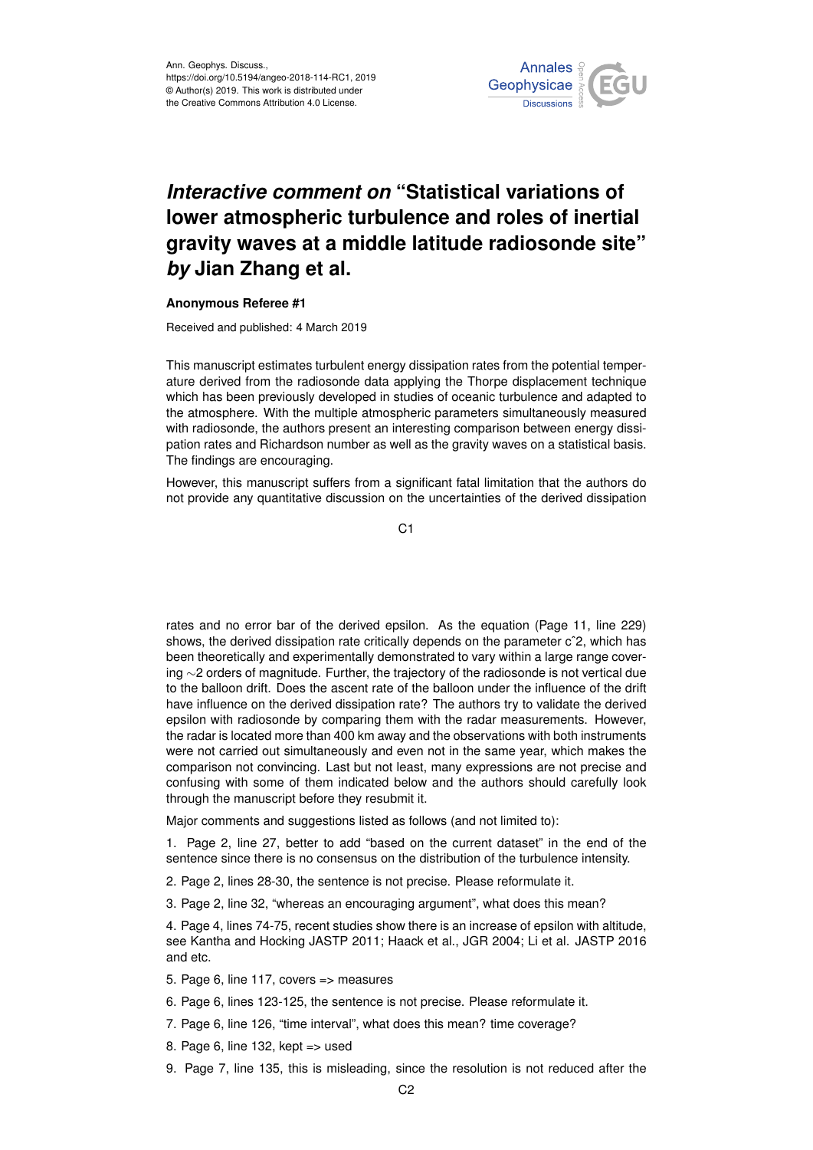

## *Interactive comment on* **"Statistical variations of lower atmospheric turbulence and roles of inertial gravity waves at a middle latitude radiosonde site"** *by* **Jian Zhang et al.**

## **Anonymous Referee #1**

Received and published: 4 March 2019

This manuscript estimates turbulent energy dissipation rates from the potential temperature derived from the radiosonde data applying the Thorpe displacement technique which has been previously developed in studies of oceanic turbulence and adapted to the atmosphere. With the multiple atmospheric parameters simultaneously measured with radiosonde, the authors present an interesting comparison between energy dissipation rates and Richardson number as well as the gravity waves on a statistical basis. The findings are encouraging.

However, this manuscript suffers from a significant fatal limitation that the authors do not provide any quantitative discussion on the uncertainties of the derived dissipation

C<sub>1</sub>

rates and no error bar of the derived epsilon. As the equation (Page 11, line 229) shows, the derived dissipation rate critically depends on the parameter c<sup>o</sup>2, which has been theoretically and experimentally demonstrated to vary within a large range covering ∼2 orders of magnitude. Further, the trajectory of the radiosonde is not vertical due to the balloon drift. Does the ascent rate of the balloon under the influence of the drift have influence on the derived dissipation rate? The authors try to validate the derived epsilon with radiosonde by comparing them with the radar measurements. However, the radar is located more than 400 km away and the observations with both instruments were not carried out simultaneously and even not in the same year, which makes the comparison not convincing. Last but not least, many expressions are not precise and confusing with some of them indicated below and the authors should carefully look through the manuscript before they resubmit it.

Major comments and suggestions listed as follows (and not limited to):

1. Page 2, line 27, better to add "based on the current dataset" in the end of the sentence since there is no consensus on the distribution of the turbulence intensity.

- 2. Page 2, lines 28-30, the sentence is not precise. Please reformulate it.
- 3. Page 2, line 32, "whereas an encouraging argument", what does this mean?

4. Page 4, lines 74-75, recent studies show there is an increase of epsilon with altitude, see Kantha and Hocking JASTP 2011; Haack et al., JGR 2004; Li et al. JASTP 2016 and etc.

- 5. Page 6, line 117, covers => measures
- 6. Page 6, lines 123-125, the sentence is not precise. Please reformulate it.
- 7. Page 6, line 126, "time interval", what does this mean? time coverage?
- 8. Page 6, line 132, kept => used
- 9. Page 7, line 135, this is misleading, since the resolution is not reduced after the